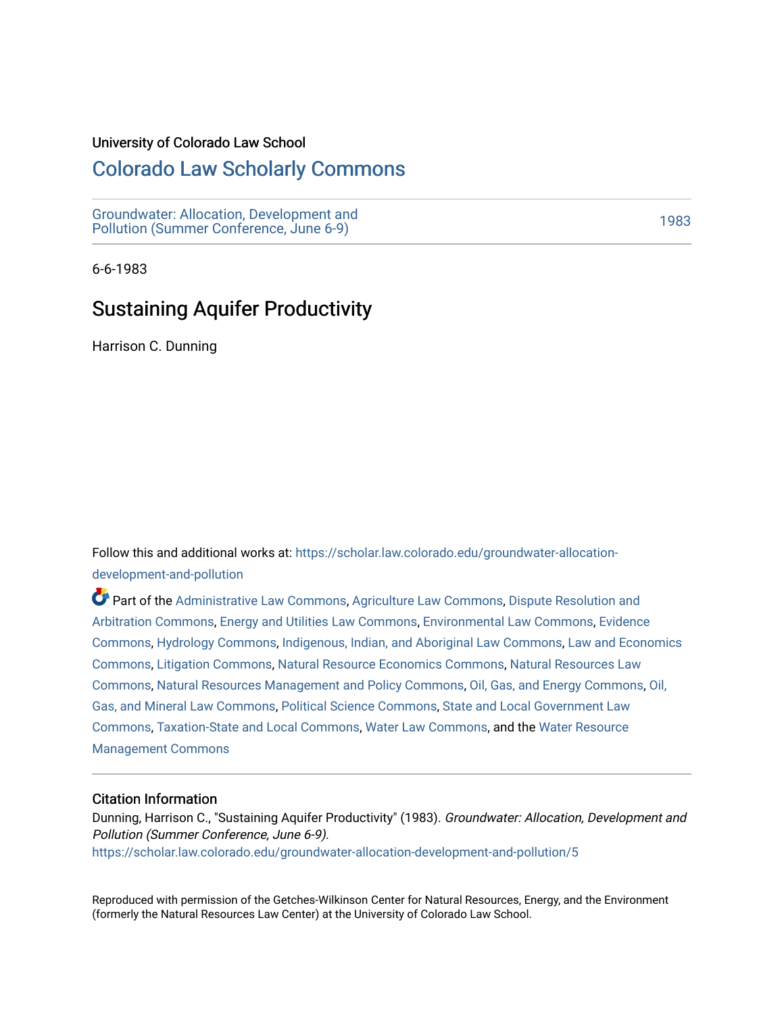## University of Colorado Law School

# [Colorado Law Scholarly Commons](https://scholar.law.colorado.edu/)

[Groundwater: Allocation, Development and](https://scholar.law.colorado.edu/groundwater-allocation-development-and-pollution)  Gioundwater. Allocation, Development and<br>Pollution (Summer Conference, June 6-9)

6-6-1983

# Sustaining Aquifer Productivity

Harrison C. Dunning

Follow this and additional works at: [https://scholar.law.colorado.edu/groundwater-allocation](https://scholar.law.colorado.edu/groundwater-allocation-development-and-pollution?utm_source=scholar.law.colorado.edu%2Fgroundwater-allocation-development-and-pollution%2F5&utm_medium=PDF&utm_campaign=PDFCoverPages)[development-and-pollution](https://scholar.law.colorado.edu/groundwater-allocation-development-and-pollution?utm_source=scholar.law.colorado.edu%2Fgroundwater-allocation-development-and-pollution%2F5&utm_medium=PDF&utm_campaign=PDFCoverPages)

Part of the [Administrative Law Commons,](http://network.bepress.com/hgg/discipline/579?utm_source=scholar.law.colorado.edu%2Fgroundwater-allocation-development-and-pollution%2F5&utm_medium=PDF&utm_campaign=PDFCoverPages) [Agriculture Law Commons](http://network.bepress.com/hgg/discipline/581?utm_source=scholar.law.colorado.edu%2Fgroundwater-allocation-development-and-pollution%2F5&utm_medium=PDF&utm_campaign=PDFCoverPages), [Dispute Resolution and](http://network.bepress.com/hgg/discipline/890?utm_source=scholar.law.colorado.edu%2Fgroundwater-allocation-development-and-pollution%2F5&utm_medium=PDF&utm_campaign=PDFCoverPages) [Arbitration Commons](http://network.bepress.com/hgg/discipline/890?utm_source=scholar.law.colorado.edu%2Fgroundwater-allocation-development-and-pollution%2F5&utm_medium=PDF&utm_campaign=PDFCoverPages), [Energy and Utilities Law Commons](http://network.bepress.com/hgg/discipline/891?utm_source=scholar.law.colorado.edu%2Fgroundwater-allocation-development-and-pollution%2F5&utm_medium=PDF&utm_campaign=PDFCoverPages), [Environmental Law Commons,](http://network.bepress.com/hgg/discipline/599?utm_source=scholar.law.colorado.edu%2Fgroundwater-allocation-development-and-pollution%2F5&utm_medium=PDF&utm_campaign=PDFCoverPages) [Evidence](http://network.bepress.com/hgg/discipline/601?utm_source=scholar.law.colorado.edu%2Fgroundwater-allocation-development-and-pollution%2F5&utm_medium=PDF&utm_campaign=PDFCoverPages)  [Commons](http://network.bepress.com/hgg/discipline/601?utm_source=scholar.law.colorado.edu%2Fgroundwater-allocation-development-and-pollution%2F5&utm_medium=PDF&utm_campaign=PDFCoverPages), [Hydrology Commons](http://network.bepress.com/hgg/discipline/1054?utm_source=scholar.law.colorado.edu%2Fgroundwater-allocation-development-and-pollution%2F5&utm_medium=PDF&utm_campaign=PDFCoverPages), [Indigenous, Indian, and Aboriginal Law Commons](http://network.bepress.com/hgg/discipline/894?utm_source=scholar.law.colorado.edu%2Fgroundwater-allocation-development-and-pollution%2F5&utm_medium=PDF&utm_campaign=PDFCoverPages), [Law and Economics](http://network.bepress.com/hgg/discipline/612?utm_source=scholar.law.colorado.edu%2Fgroundwater-allocation-development-and-pollution%2F5&utm_medium=PDF&utm_campaign=PDFCoverPages)  [Commons](http://network.bepress.com/hgg/discipline/612?utm_source=scholar.law.colorado.edu%2Fgroundwater-allocation-development-and-pollution%2F5&utm_medium=PDF&utm_campaign=PDFCoverPages), [Litigation Commons,](http://network.bepress.com/hgg/discipline/910?utm_source=scholar.law.colorado.edu%2Fgroundwater-allocation-development-and-pollution%2F5&utm_medium=PDF&utm_campaign=PDFCoverPages) [Natural Resource Economics Commons,](http://network.bepress.com/hgg/discipline/169?utm_source=scholar.law.colorado.edu%2Fgroundwater-allocation-development-and-pollution%2F5&utm_medium=PDF&utm_campaign=PDFCoverPages) [Natural Resources Law](http://network.bepress.com/hgg/discipline/863?utm_source=scholar.law.colorado.edu%2Fgroundwater-allocation-development-and-pollution%2F5&utm_medium=PDF&utm_campaign=PDFCoverPages)  [Commons](http://network.bepress.com/hgg/discipline/863?utm_source=scholar.law.colorado.edu%2Fgroundwater-allocation-development-and-pollution%2F5&utm_medium=PDF&utm_campaign=PDFCoverPages), [Natural Resources Management and Policy Commons,](http://network.bepress.com/hgg/discipline/170?utm_source=scholar.law.colorado.edu%2Fgroundwater-allocation-development-and-pollution%2F5&utm_medium=PDF&utm_campaign=PDFCoverPages) [Oil, Gas, and Energy Commons,](http://network.bepress.com/hgg/discipline/171?utm_source=scholar.law.colorado.edu%2Fgroundwater-allocation-development-and-pollution%2F5&utm_medium=PDF&utm_campaign=PDFCoverPages) [Oil,](http://network.bepress.com/hgg/discipline/864?utm_source=scholar.law.colorado.edu%2Fgroundwater-allocation-development-and-pollution%2F5&utm_medium=PDF&utm_campaign=PDFCoverPages)  [Gas, and Mineral Law Commons](http://network.bepress.com/hgg/discipline/864?utm_source=scholar.law.colorado.edu%2Fgroundwater-allocation-development-and-pollution%2F5&utm_medium=PDF&utm_campaign=PDFCoverPages), [Political Science Commons](http://network.bepress.com/hgg/discipline/386?utm_source=scholar.law.colorado.edu%2Fgroundwater-allocation-development-and-pollution%2F5&utm_medium=PDF&utm_campaign=PDFCoverPages), [State and Local Government Law](http://network.bepress.com/hgg/discipline/879?utm_source=scholar.law.colorado.edu%2Fgroundwater-allocation-development-and-pollution%2F5&utm_medium=PDF&utm_campaign=PDFCoverPages) [Commons](http://network.bepress.com/hgg/discipline/879?utm_source=scholar.law.colorado.edu%2Fgroundwater-allocation-development-and-pollution%2F5&utm_medium=PDF&utm_campaign=PDFCoverPages), [Taxation-State and Local Commons](http://network.bepress.com/hgg/discipline/882?utm_source=scholar.law.colorado.edu%2Fgroundwater-allocation-development-and-pollution%2F5&utm_medium=PDF&utm_campaign=PDFCoverPages), [Water Law Commons,](http://network.bepress.com/hgg/discipline/887?utm_source=scholar.law.colorado.edu%2Fgroundwater-allocation-development-and-pollution%2F5&utm_medium=PDF&utm_campaign=PDFCoverPages) and the [Water Resource](http://network.bepress.com/hgg/discipline/1057?utm_source=scholar.law.colorado.edu%2Fgroundwater-allocation-development-and-pollution%2F5&utm_medium=PDF&utm_campaign=PDFCoverPages) [Management Commons](http://network.bepress.com/hgg/discipline/1057?utm_source=scholar.law.colorado.edu%2Fgroundwater-allocation-development-and-pollution%2F5&utm_medium=PDF&utm_campaign=PDFCoverPages)

## Citation Information

Dunning, Harrison C., "Sustaining Aquifer Productivity" (1983). Groundwater: Allocation, Development and Pollution (Summer Conference, June 6-9). [https://scholar.law.colorado.edu/groundwater-allocation-development-and-pollution/5](https://scholar.law.colorado.edu/groundwater-allocation-development-and-pollution/5?utm_source=scholar.law.colorado.edu%2Fgroundwater-allocation-development-and-pollution%2F5&utm_medium=PDF&utm_campaign=PDFCoverPages)

Reproduced with permission of the Getches-Wilkinson Center for Natural Resources, Energy, and the Environment (formerly the Natural Resources Law Center) at the University of Colorado Law School.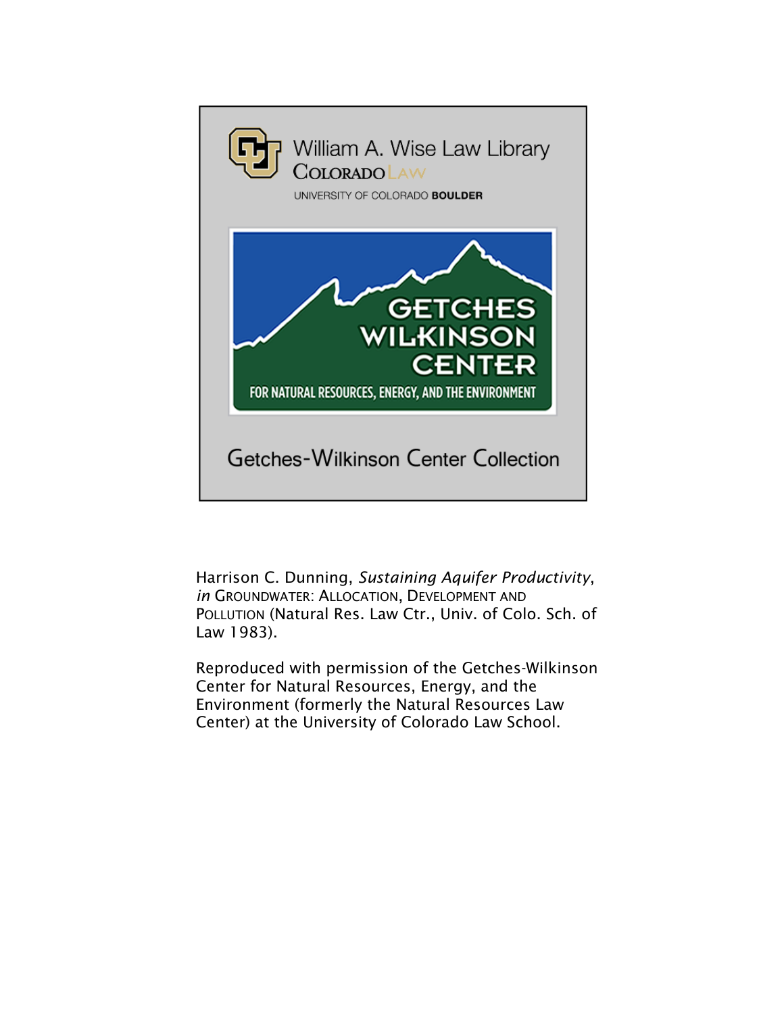

Harrison C. Dunning, *Sustaining Aquifer Productivity*, *in* GROUNDWATER: ALLOCATION, DEVELOPMENT AND POLLUTION (Natural Res. Law Ctr., Univ. of Colo. Sch. of Law 1983).

Reproduced with permission of the Getches-Wilkinson Center for Natural Resources, Energy, and the Environment (formerly the Natural Resources Law Center) at the University of Colorado Law School.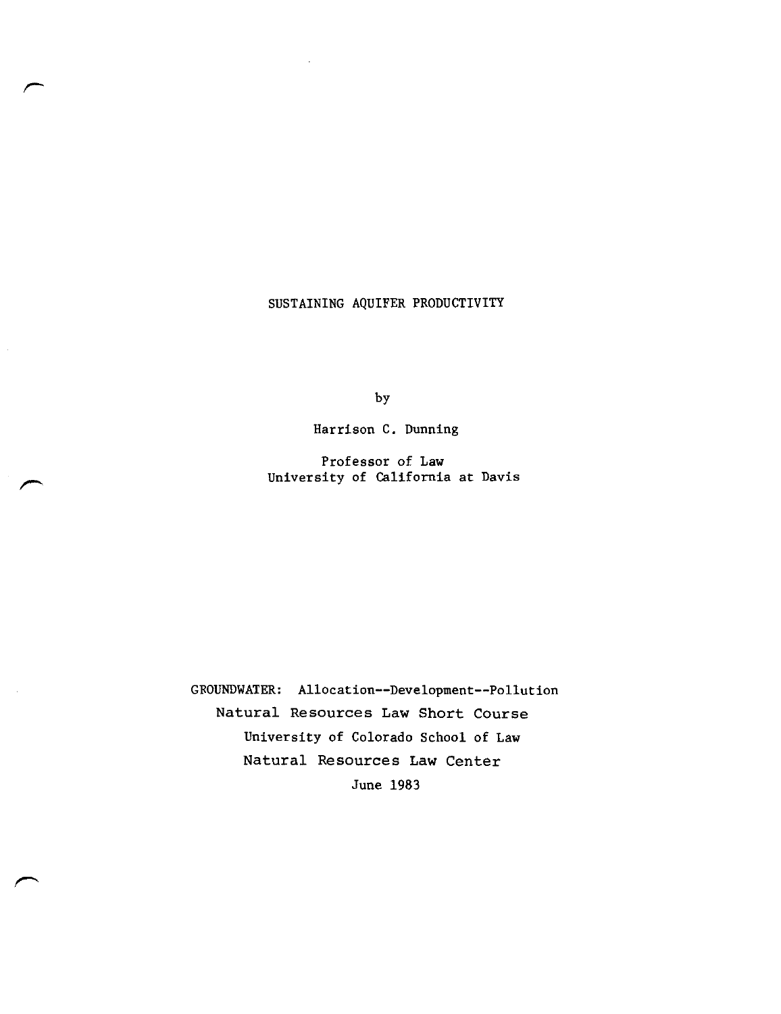## SUSTAINING AQUIFER PRODUCTIVITY

by

Harrison C. Dunning

Professor of Law University of California at Davis

GROUNDWATER: Allocation--Development--Pollution Natural Resources Law Short Course University of Colorado School of Law Natural Resources Law Center June 1983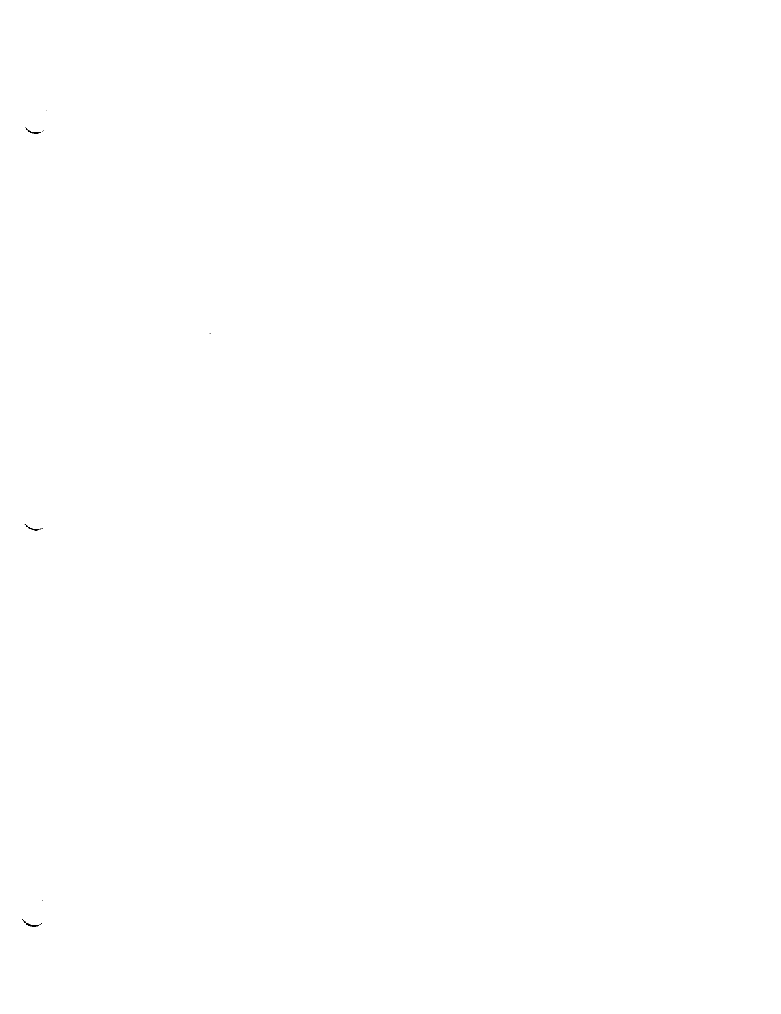$\langle S_{\rm{eff}} \rangle$  $\mathcal{O}_\mathcal{I}$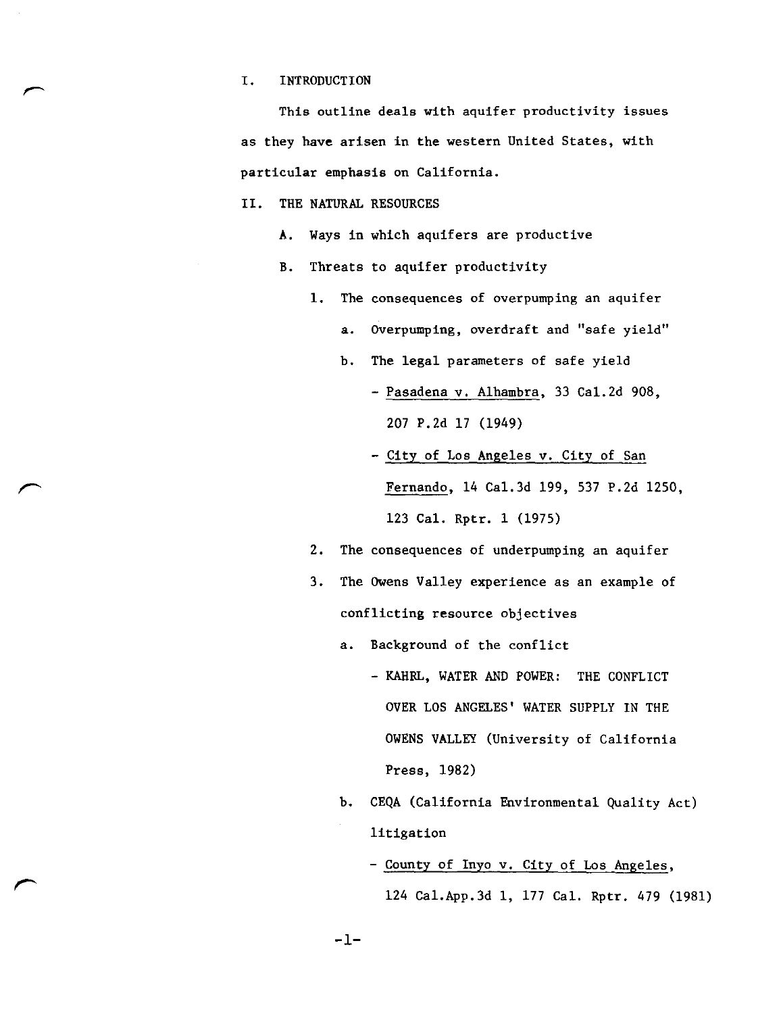## I. INTRODUCTION

This outline deals with aquifer productivity issues as they have arisen in the western United States, with particular emphasis on California.

II. THE NATURAL RESOURCES

A. Ways in which aquifers are productive

B. Threats to aquifer productivity

- 1. The consequences of overpumping an aquifer
	- a. Overpumping, overdraft and "safe yield"
	- b. The legal parameters of safe yield
		- Pasadena v. Alhambra, 33 Ca1.2d 908, 207 P.2d 17 (1949)
		- City of Los Angeles v. City of San Fernando, 14 Ca1.3d 199, 537 P.2d 1250, 123 Cal. Rptr. 1 (1975)
- 2. The consequences of underpumping an aquifer
- 3. The Owens Valley experience as an example of conflicting resource objectives
	- a. Background of the conflict
		- KAHRL, WATER AND POWER: THE CONFLICT OVER LOS ANGELES' WATER SUPPLY IN THE OWENS VALLEY (University of California Press, 1982)
	- b. CEQA (California Environmental Quality Act) **litigation** 
		- County of Inyo v. City of Los Angeles, 124 Cal.App.3d 1, 177 Cal. Rptr. 479 (1981)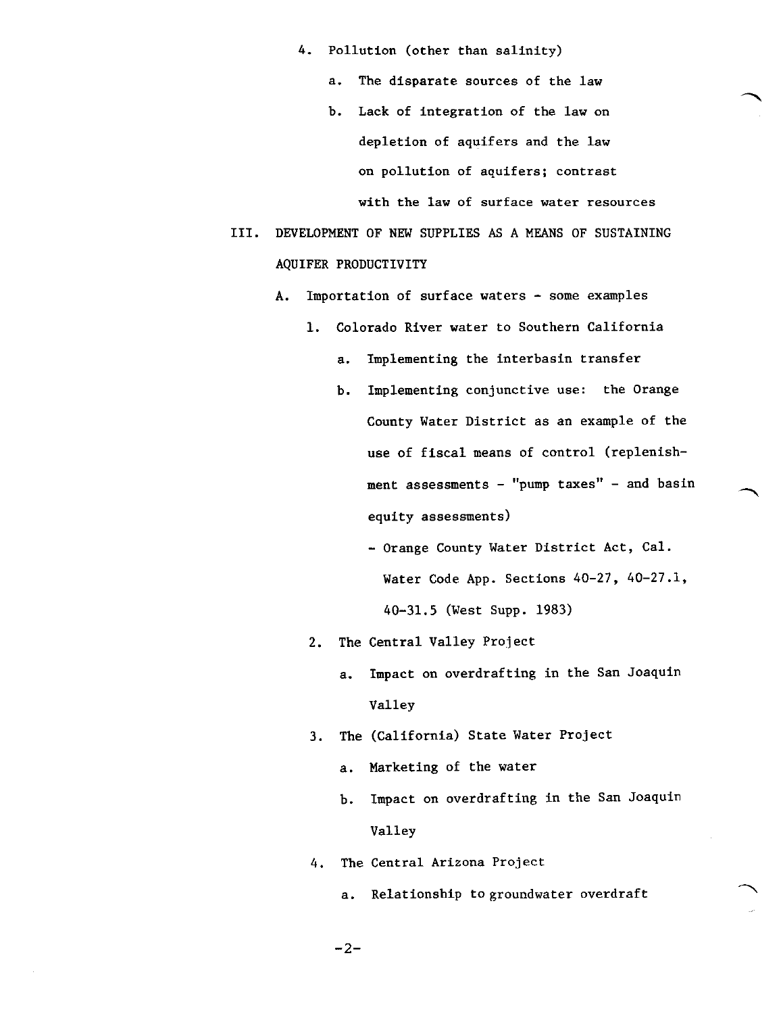- 4. Pollution (other than salinity)
	- a. The disparate sources of the law
	- b. Lack of integration of the law on depletion of aquifers and the law on pollution of aquifers; contrast with the law of surface water resources
- III. DEVELOPMENT OF NEW SUPPLIES AS A MEANS OF SUSTAINING AQUIFER PRODUCTIVITY
	- A. Importation of surface waters some examples
		- 1. Colorado River water to Southern California
			- a. Implementing the interbasin transfer
			- b. Implementing conjunctive use: the Orange County Water District as an example of the use of fiscal means of control (replenishment assessments - "pump taxes" - and basin equity assessments)
				- Orange County Water District Act, Cal. Water Code App. Sections 40-27, 40-27.1, 40-31.5 (West Supp. 1983)
		- 2. The Central Valley Project
			- a. Impact on overdrafting in the San Joaquin Valley
		- 3. The (California) State Water Project
			- a. Marketing of the water
			- b. Impact on overdrafting in the San Joaquin Valley
		- 4. The Central Arizona Project
			- a. Relationship to groundwater overdraft

 $-2-$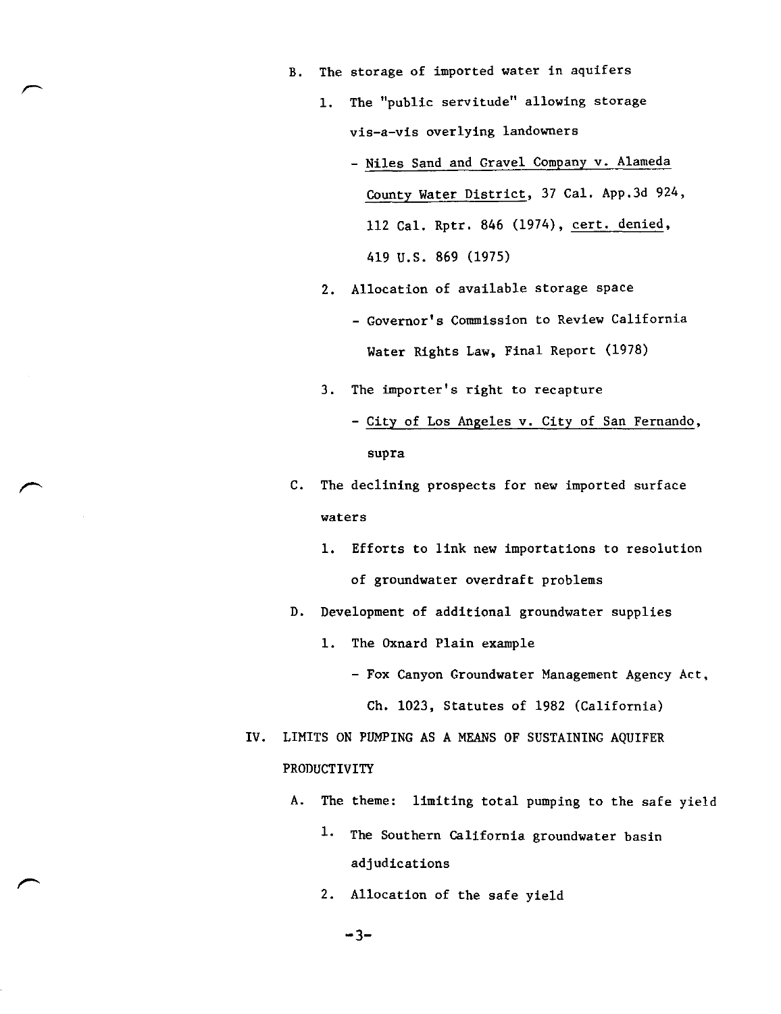- B. The storage of imported water in aquifers
	- 1. The "public servitude" allowing storage vis-a-vis overlying landowners
		- Niles Sand and Gravel Company v. Alameda County Water District, 37 Cal. App.3d 924, 112 Cal. Rptr. 846 (1974), cert. denied, 419 U.S. 869 (1975)
	- 2. Allocation of available storage space
		- Governor's Commission to Review California Water Rights Law, Final Report (1978)
	- 3. The importer's right to recapture
		- City of Los Angeles v. City of San Fernando, supra
- C. The declining prospects for new imported surface waters
	- 1. Efforts to link new importations to resolution of groundwater overdraft problems
- D. Development of additional groundwater supplies
	- 1. The Oxnard Plain example
		- Fox Canyon Groundwater Management Agency Act,

Ch. 1023, Statutes of 1982 (California)

IV. LIMITS ON PUMPING AS A MEANS OF SUSTAINING AQUIFER PRODUCTIVITY

## A. The theme: limiting total pumping to the safe yield

- 1. The Southern California groundwater basin adjudications
- 2. Allocation of the safe yield

—3—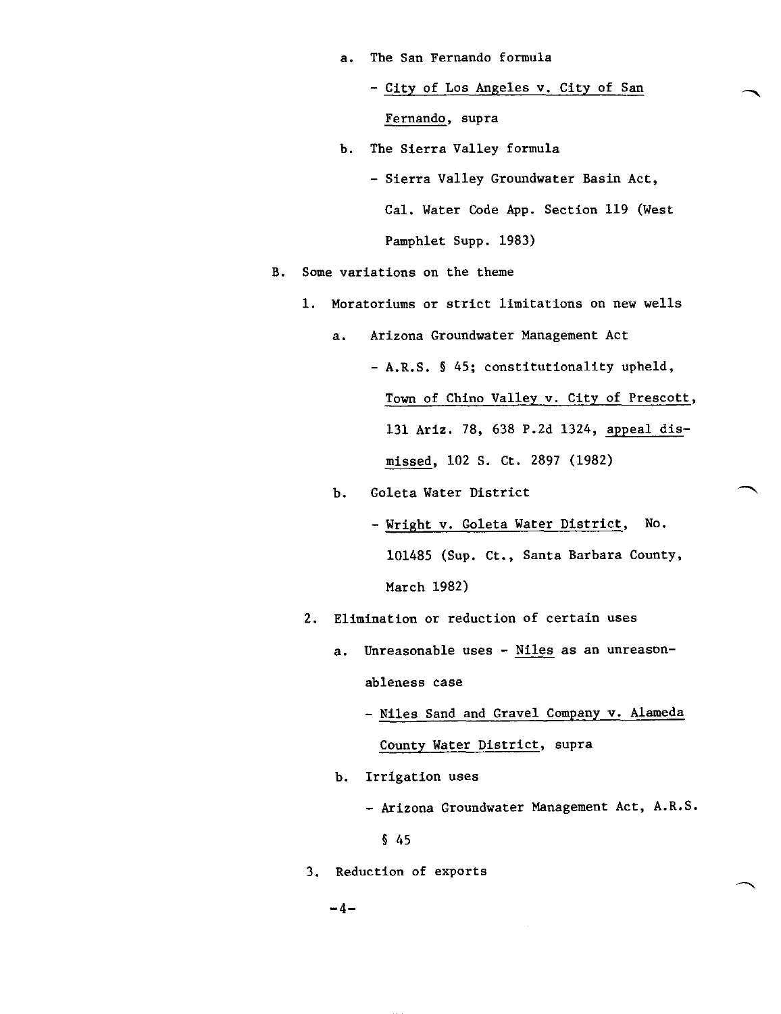- a. The San Fernando formula
	- City of Los Angeles v. City of San Fernando, supra
- b. The Sierra Valley formula
	- Sierra Valley Groundwater Basin Act, Cal. Water Code App. Section 119 (West Pamphlet Supp. 1983)
- B. Some variations on the theme
	- 1. Moratoriums or strict limitations on new wells
		- a. Arizona Groundwater Management Act
			- A.R.S. § 45; constitutionality upheld,

Town of Chino Valley v. City of Prescott, 131 Ariz. 78, 638 P.2d 1324, appeal dismissed, 102 S. Ct. 2897 (1982)

- b. Goleta Water District
	- Wright v. Goleta Water District, No. 101485 (Sup. Ct., Santa Barbara County, March 1982)
- 2. Elimination or reduction of certain uses
	- a. Unreasonable uses Niles as an unreason-

ableness case

- Niles Sand and Gravel Company v. Alameda County Water District, supra
- b. Irrigation uses
	- Arizona Groundwater Management Act, A.R.S.

§ 45

3. Reduction of exports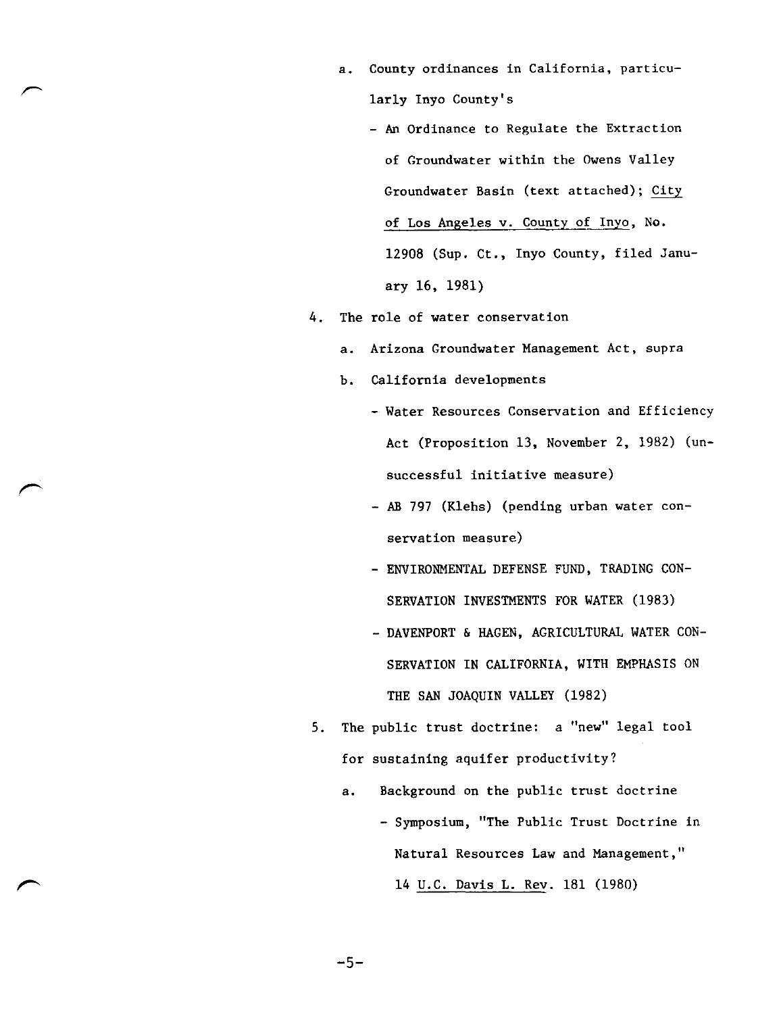- a. County ordinances in California, particularly Inyo County's
	- An Ordinance to Regulate the Extraction of Groundwater within the Owens Valley Groundwater Basin (text attached); City of Los Angeles v. County of Inyo, No. 12908 (Sup. Ct., Inyo County, filed January 16, 1981)
- 4. The role of water conservation
	- a. Arizona Groundwater Management Act, supra
	- b. California developments
		- Water Resources Conservation and Efficiency Act (Proposition 13, November 2, 1982) (unsuccessful initiative measure)
		- AB 797 (Klehs) (pending urban water conservation measure)
		- ENVIRONMENTAL DEFENSE FUND, TRADING CON-SERVATION INVESTMENTS FOR WATER (1983)
		- DAVENPORT & HAGEN, AGRICULTURAL WATER CON-SERVATION IN CALIFORNIA, WITH EMPHASIS ON THE SAN JOAQUIN VALLEY (1982)
- 5. The public trust doctrine: a "new" legal tool for sustaining aquifer productivity?
	- a. Background on the public trust doctrine - Symposium, "The Public Trust Doctrine in Natural Resources Law and Management," 14 U.C. Davis L. Rev. 181 (1980)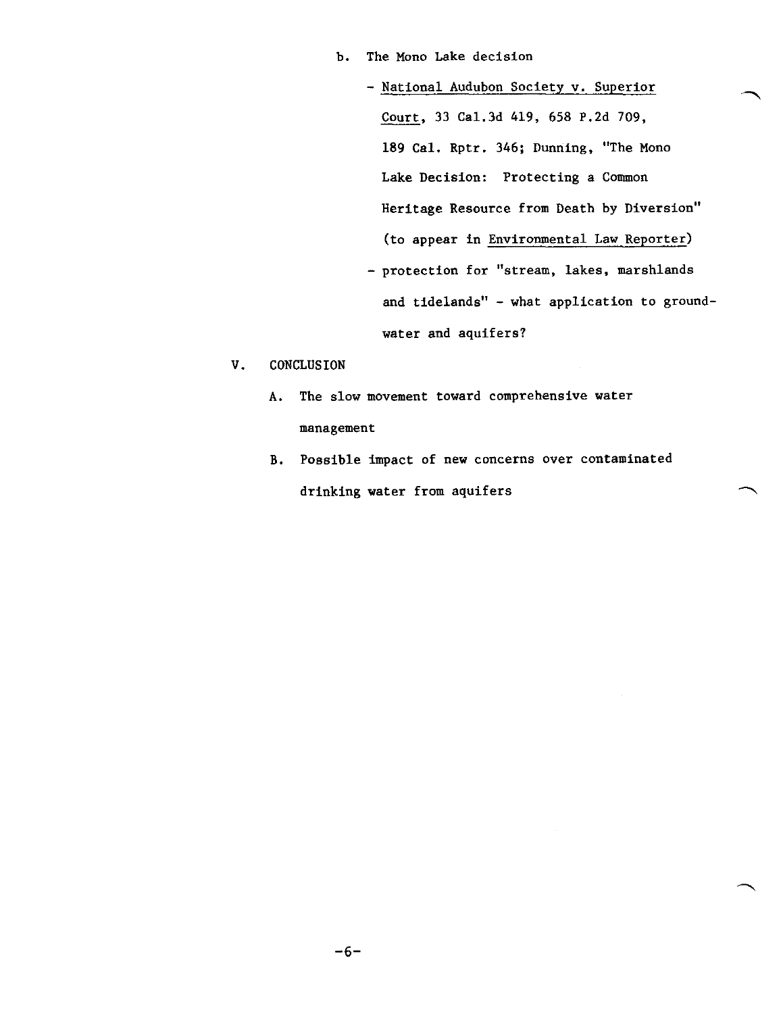b. The Mono Lake decision

- National Audubon Society v. Superior Court, 33 Ca1.3d 419, 658 P.2d 709, 189 Cal. Rptr. 346; Dunning, "The Mono Lake Decision: Protecting a Common Heritage Resource from Death by Diversion" (to appear in Environmental Law Reporter) - protection for "stream, lakes, marshlands and tidelands" - what application to groundwater and aquifers?

## V. CONCLUSION

- A. The slow movement toward comprehensive water management
- B. Possible impact of new concerns over contaminated drinking water from aquifers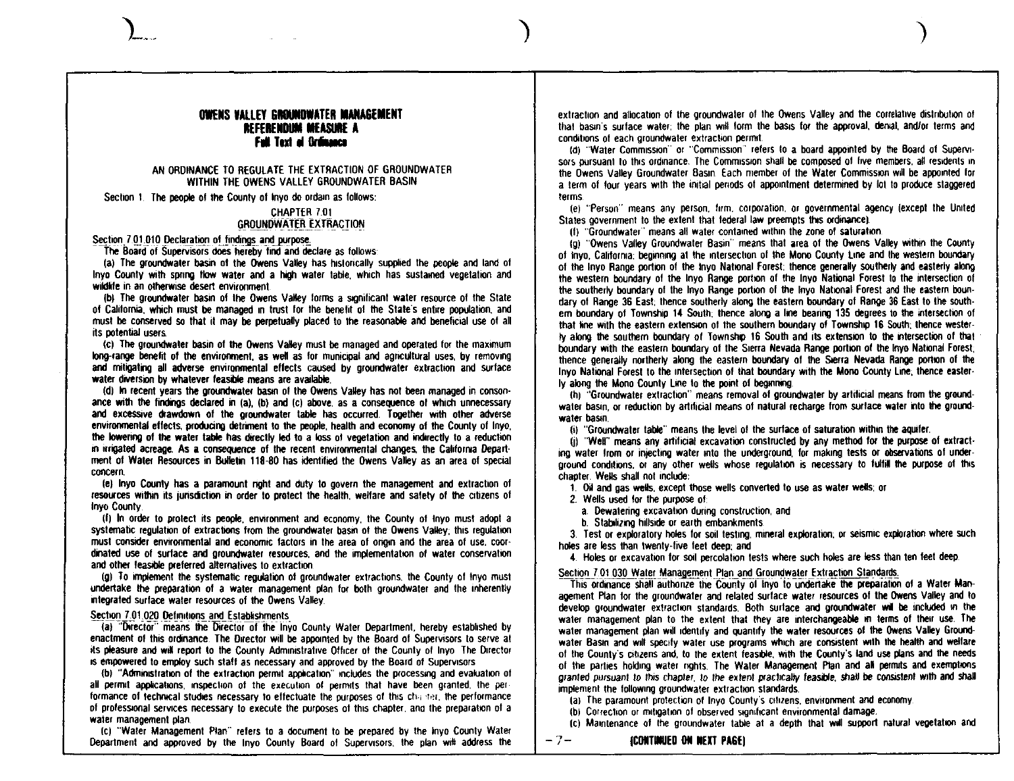## **OWENS VALLEY GROVIDWATER MANAGEMENT REFERENDUM MEASURE A Full Text of Ordinance**

### AN ORDINANCE TO REGULATE THE EXTRACTION OF GROUNDWATER WITHIN THE OWENS VALLEY GROUNDWATER BASIN

Section 1. The people of the County of Inyo do ordain as follows:

## CHAPTER 701 GROUNDWATER EXTRACTION

Section 7.01.010 Declaration of findings and purpose.

The Board of Supervisors does hereby find and declare as follows'

(a) The groundwater basin of the Owens Valley has historically supplied the people and land of Invo County with spring flow water and a high water table, which has sustained vegetation and wildlife in an otherwise desert environment.

(b) The groundwater basin of the Owens Valley forms a significant water resource of the State of California. which must be managed in trust for the benefit of the Stales entire population: and must be conserved so that it may be perpetually placed to the reasonable and beneficial use of all its potential users

(c) The groundwater basin of the Owens Valley must be managed and operated for the maximum long-range benefit of the environment, as well as for municipal and agricultural uses, by removing and mitigating all adverse environmental effects caused by groundwater extraction and surface water diversion by whatever feasible means are available.

(d) In recent years the groundwater basin of the Owens Valley has not been managed in consonance with the findings declared in (a), (b) and (c) above, as a consequence of which unnecessary and excessive drawdown of the groundwater table has occurred. Together with other adverse environmental effects, producing detriment to the people, health and economy of the County of !nye the lowering of the water table has directly led to a loss of vegetation and indirectly to a reduction in irrigated acreage As a consequence of the recent environmental changes, the California Department of Water Resources in Bulletin 118-80 has identified the Owens Valley as an area of special concern.

(e) lnyo County has a paramount right and duty to govern the management and extraction of resources within its jurisdiction in order to protect the health, welfare and safety of the citizens of lnyo County.

(I) In order to protect its people, environment and economy, the County of lnyo must adopt a systematic regulation of extractions from the groundwater basin of the Owens Valley; this regulation must consider environmental and economic factors in the area of origin and the area of use, coordinated use of surface and groundwater resources, and the implementation of water conservation and other feasible preferred alternatives to extraction

(g) To implement the systematic regulation ot groundwater extractions. the County of Inyo must undertake the preparation of a water management plan for both groundwater and the inherently integrated surface water resources of the Owens Valley

#### Section 7.01.020 Definitions and Establishments

(a) "Director" means the Director of the Invo County Water Department, hereby established by enactment of this ordinance. The Director will be appointed by the Board of Supervisors to serve at its pleasure and will report to the County Administrative Officer of the County of lnyo The Director is empowered to employ such staff as necessary and approved by the Board of Supervisors

(b) "Administration of the extraction permit application" includes the processing and evaluation of all permit applications, inspection ot the execution of permits that have been granted, the per formance of technical studies necessary to effectuate the purposes of this chi ter, the performance of professional services necessary to execute the purposes of this chapter. aria the preparation of a water management plan.

(c) "Water Management Plan" refers to a document to be prepared by the lnyo County Water Department and approved by the Inyo County Board of Supervisors, the plan will address the

extraction and allocation of the groundwater of the Owens Valley and the correlative distribution of that basin's surface water; the plan will form the basis for the approval, denial, and/or terms and conditions of each groundwater extraction permit.

Id) "Water Commission" or "Commission" refers to a board appointed by the Board of Supervisors pursuant to this ordinance. The Commission shall be composed of live members. all residents in the Owens Valley Groundwater Basin Each member of the Water Commission will be appointed for a term of four years with the initial penods of appointment determined by lot to produce staggered terms

(el "Person" means any person. firm. corporation, or governmental agency (except the United States government to the extent that federal law preempts **ths** ordinance).

0) "Groundwater" means all water contained within the zone of saturation

tg) "Owens Valley Groundwater Basin" means that area of the Owens Valley Within the County of lnyo, California: beginning at the intersection of the Mono County Line and the western boundary of the lnyo Range portion of the lnyo National Forest; thence generally southerly and easterly along the western boundary of the Invo Range portion of the Invo National Forest to the intersection of the southerly boundary of the Inyo Range portion of the Inyo National Forest and the eastern boundary of Range 36 East; thence southerly along the eastern boundary of Range 36 East to the southem boundary of Township 14 South: thence along a line bearing 135 degrees to the intersection of that line with the eastern extension of the southern boundary of Township 16 South; thence westerly along the southern boundary of Townshp 16 South and its extension to the intersection of that boundary with the eastern boundary of the Sierra Nevada Range portion of the Invo National Forest. thence generally northerly along the eastern boundary of the Sierra Nevada Range portion of the lnyo National Forest to the intersection of that boundary with the Mono County Line; thence easterly along the Mono County Line to the point of beginning.

(h) "Groundwater extraction" means removal of groundwater by artificial means from the groundwater basin, or reduction by artificial means of natural recharge from surface water into the groundwater basin.

(i) "Groundwater table" means the level of the surface of saturation within the aquifer.

(j) "Well" means any artificial excavation constructed by any method for the purpose of extracting water from or injecting water into the underground, for making tests or observations of underground conditions, or any other wells whose regulation is necessary to fulfil the purpose of this chapter. Wells shall not include:

1. Oil and gas welts, except those wells convened to use as water wells: or

2. Wells used for the purpose of:

- a. Dewalering excavation during construction, and
- b. Stabilizing hillside or earth embankments.

3. Test Of exploratory holes for soil testing, mineral exploration; or seismic exploration where such holes are less than twenty-five feet deep; and

4. Holes or excavation for soil percolation tests where such holes are less than ten feet deep.

Section 701 030 Water Management Plan and Groundwater Extraction Standards.

This ordnance shall authonze the County ol lnyo to undertake the preparation of a Water Management Plan for the groundwater and related surface water resources of the Owens Valley and to develop groundwater extraction standards. Both surface and groundwater **wil** be included in the water management plan to the extent that they are interchangeable in terms of their use. The water management plan will identify and quantify the water resources of the Owens Valley Groundwater Basin and will specify water use programs which are consistent with the health and welfare of the County's citizens and, to the extent feasible, with the County's land use plans and the needs of the parties holding water rights. The Water Management Plan and all permits and exemptions granted pursuant to this chapter, to the extent practically feasible, shall be consistent with and shall implement the following groundwater extraction standards.

Ca) The paramount protection of lnyo County's citizens, environment and economy.

(b) Correction or mitigation of observed significant environmental damage.

(c) Maintenance of the groundwater table at a depth that will support natural vegetation and

 $-7-$ 

*<u>KCONTINUED ON NEXT PAGE)</u>*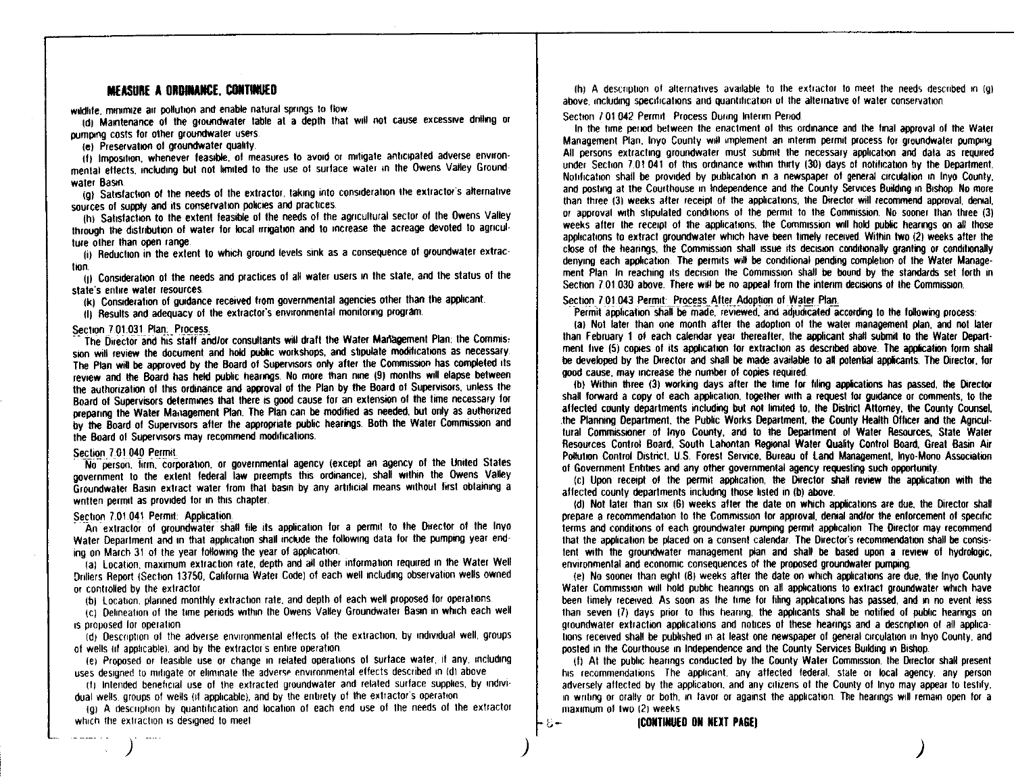## **MEASURE A ORDINANCE, CONTINUED**

wildlife, minimize air pollution and enable natural springs to flow.

(d) Maintenance of the groundwater table at a depth that will not cause excessive drilling or pumping costs for other groundwater users.

(e) Preservation of groundwater quality.

If) Imposition, whenever feasible, of measures to avoid or mitigate anticipated adverse environmental effects, including but not limited to the use ol surface water in the Owens Valley Groundwater Basin

(9) Satisfaction of the needs of the extractor, taking into consideration the extractor's alternative sources of supply and its conservation policies and practices.

(h) Satisfaction to the extent feasible of the needs of the agricultural sector of the Owens Valley through the distribution of water for local irrigation and to increase the acreage devoted to agriculture other than open range.

(i) Reduction in the extent to which ground levels sink as a consequence of groundwater extraction.

(II Consideration of the needs and practices of all water users in the state, and the status of the slate's entire water resources.

(k) Consideration of guidance received from governmental agencies other than the applicant. II) Results and adequacy of the extractor's environmental monitoring program.

## Section 7.01.031 Plan: Process.

The Director and his staff and/or consultants will draft the Water Management Plan; the Commission will review the document and hold pubic workshops, and stipulate modifications as necessary. The Plan will be approved by the Board of Supervisors only after the Commission has completed its review and the Board has held public hearings. No more than nine (9) months will elapse between the authorization of this ordinance and approval of the Plan by the Board of Supervisors, unless the Board of Supervisors determines that there is good cause for an extension of the time necessary for preparing the Water Management Plan. The Plan can be modified as needed. but only as authorized by the Board of Supervisors alter the appropriate public hearings. Both the Water Commission and the Board ol Supervisors may recommend modifications.

#### Section 7.01 040 Permit.

No person, hrm, corporation, or governmental agency (except an agency of the United Stales government to the extent federal law preempts this ordinance), shall within the Owens Valley Groundwater Basin extract water from that basin by any artificial means without first obtaining a written permit as provided for in this chapter.

#### Section 7.01.041 Permit: Application.

An extractor of groundwater shall tile its application for a permit to the Director of the Inyo Water Department and in that application shall include the following data for the pumping year ending on March 31 of the year following the year of application.

(a) Location, maximum extraction rate, depth and all other information required in the Water Well Drillers Report (Section 13750, California Water Code) of each well including observation wells owned or controlled by the extractor

(b) Location, planned monthly extraction rate, and depth of each well proposed for operations.

lc) Delineation of the time periods within the Owens Valley Groundwater Basin in which each well is proposed for operation

id) Description of the adverse environmental effects of the extraction, by individual well, groups of wells id applicable), and by the extractor's entire operation.

le) Proposed or feasible use or change in related operations al surface water, if any. including uses designed to mitigate or eliminate the adverse environmental effects described in (d) above

lt) Intended beneficial use of the extracted groundwater and related surface supplies, by individual wells, groups of wells (if applicable), and by the entirety of the extractor's operation.

(g) A description by quantification and location of each end use of the needs of the extractor which the extraction is designed to meet

(h) A description of alternatives available to the extractor to meet the needs described in (g) above. including specifications and quantification of the alternative of water conservation

Section 101 042 Permit Process During Interim Period

In the time period between the enactment of this ordinance and the final approval of the Water Management Plan. Inyo County will implement an interim permit process for groundwater pumping All persons extracting groundwater must submit the necessary application and data as required under Section 7.01 041 of this ordinance within thirty (30) days of notification by the Department. Notification shall be provided by publication in a newspaper of general circulation in Inyo County, and posting at the Courthouse in Independence and the County Services Building in Bishop No more than three (3) weeks after receipt of the applications, the Director will recommend approval, denial, or approval with stipulated conditions of the permit to the Commission. No sooner than three (3) weeks after the receipt of the applications, the Commission will hold public hearings on all those applications to extract groundwater which have been timely received. Within two (2) weeks after the close of the hearings, the Commission shall issue its decision conditionally granting or conditionally denying each application The permits will be conditional pending completion of the Water Management Plan In reaching its decision the Commission shall be bound by the standards set forth in Section 7.01.030 above. There will be no appeal from the interim decisions of the Commission.

#### Section 7.01.043 Permit: Process After Adoption of Water Plan.

Permit application shall be made, reviewed, and adjudicated according to the following process:

(a) Not later than one month after the adoption of the water management plan, and not later than February 1 of each calendar year thereafter, the applicant shall submit to the Water Department five (5) copies of its application for extraction as described above. The application form shall be developed by the Director and shall be made available to all potential applicants. The Director, for good cause, may increase the number of copies required.

(b) Within three (3) working days after the time for filing applications has passed, the Director shall forward a copy of each application, together with a request for guidance or comments, to the affected county departments including but not limited to, the District Attorney, the County Counsel, .the Planning Department, the Public Works Department, the County Health Officer and the Agricultural Commissioner of Invo County, and to the Department of Water Resources, State Water Resources Control Board, South Lahontan Regional Water Duality Control Board, Great Basin Air Pollution Control District. U.S. Forest Service. Bureau of Land Management, Inyo-Mono Association of Government Entities and any other governmental agency requesting such opportunity.

(c) Upon receipt of the permit application. the Director shall review the application with the affected county departments including those listed in (b) above.

Id) Not later than six (6) weeks after the date on which applications are due, the Director shall prepare a recommendation to the Commission tor approval, denial and/or the enforcement of specific terms and conditions of each groundwater pumping permit application The Director may recommend that the application be placed on a consent calendar. The Director's recommendation shall be consistent with the groundwater management plan and shall be based upon a review of hydrologic, environmental and economic consequences of the proposed groundwater pumping.

(e) No soonei than eight (8) weeks after the date on which applications are due, the [nye County Water Commission will hold public hearings on all applications to extract groundwater which have been timely received. As soon as the time for filing applications has passed, and in no event less than seven (7) days prior to this hearing, the applicants shall be notified of public hearings on groundwater extraction applications and notices of these hearings and a descnption of all applications received shall be published in at least one newspaper of general circulation in Inyo County. and posted in the Courthouse in Independence and the County Services Building in Bishop.

(f) At the public hearings conducted by the County Water Commission. the Director shall present his recommendations The applicant, any affected federal, state or local agency, any person adversely affected by the application, and any citizens of the County of Inyo may appear to testily, in writing or orally or both, in favor or against the application The hearings will remain open for a maximum ol two 121 weeks

— (CONTINUED ON NEXT PAGE)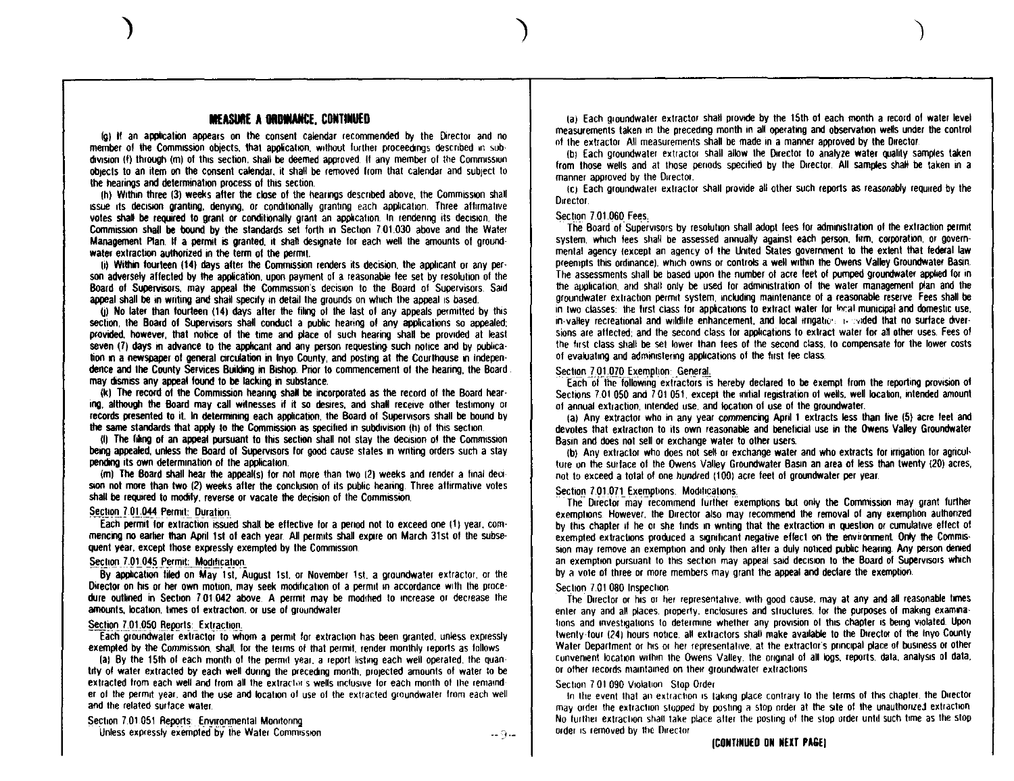## **MEASURE A ORMIMME. CONTINUED**

(9) It an application appears on the consent calendar recommended by the Director and no member of the Commission objects, that application, without further proceedings described in subdivision (f) through (m) of this section. shall be deemed approved. If any member of the Commission objects to an item on the consent calendar, it shall be removed from that calendar and subject to the hearings and determination process of this section.

(h) Within three (3) weeks alter the close of the hearings described above, the Commission shall issue its decision granting, denying, or conditionally granting each application. Three affirmative votes shall be required to grant or conditionally grant an application. In rendenng its decision, the Commission shall be bound by the standards set forth in Section 7.01.030 above and the Water Management Plan. If a permit is granted, it shall designate for each well the amounts of groundwater extraction authorized in the term of the permit.

(i) Within fourteen (14) days after the Commission renders its decision, the applicant or any person adversely affected by the application, upon payment of a reasonable lee set by resolution of the Board of Supervisors. may appeal the Commission's decision to the Board of Supervisors. Said appeal shall be in writing and shall specify in detail the grounds on which the appeal is based.

(j) No later than fourteen (14) days after the filing of the last of any appeals permitted by this section, the Board of Supervisors shall conduct a public hearing of any applications so appealed; provided, however, that notice of the time and place of such hearing shall be provided at least seven (7) days in advance to the applicant and any person requesting such potice and by publication in a newspaper of general circulation in lnyo County, and posting at the Courthouse in Independence and the County Services Building in Bishop. Prior to commencement of the hearing, the Board. may dismiss any appeal found to be lacking in substance.

(k) The record of the Commission hearing shall be incorporated as the record of the Board hearing, although the Board may call witnesses if it so desires, and shall receive other testimony or records presented to it. In determining each application, the Board of Supervisors shall be bound by the same standards that apply to the Commission as specified in subdivision (h) of this section.

(I) The **ling** of an appeal pursuant to this section shall not stay the decision of the Commission being appealed, unless the Board of Supervisors for good cause states in writing orders such a stay pending its own determination of the application.

(n) The Board shall hear the appeal(s) for not more than two (2) weeks and render a final decision not mote than two (2) weeks after the conclusion of its public hearing. Three affirmative votes shall be required to modify, reverse or vacate the decision of the Commission.

### Section 701.044 Permit: Duration.

Each permit for extraction issued shall be effective for a period not to exceed one (1) year. commencing no earlier than April 1st of each year. All permits shall expire on March 31st of the subsequent year, except those expressly exempted by the Commission.

## Section 7.01.045 Permit: Modification.

By application tiled on May 1st, August 1st. or November 1st. a groundwater extractor, or the Director on his or her own motion. may seek modification of a permit in accordance with the procedure outlined in Section 701.042 above. A permit may be modified to increase or decrease the amounts, location, times of extraction, or use of groundwater

#### Section 7.01.050 Reports. Extraction.

Each groundwater extractor to whom a permit for extraction has been granted, unless expressly exempted by the Commission, shall, for the terms of that permit, render monthly reports as follows

(a) By the 15th of each month of the permit year, a report listing each well operated, the quantify of water extracted by each well during the preceding month, projected amounts of water to be extracted from each well and from all the extractor's wells inclusive for each month of the remainder of the permit year, and the use and location of use of the extracted groundwater from each well and the related surface water.

Section 7.01.051 Reports: Environmental Monitoring

Unless expressly exempted by the Water Commission

(a) Each groundwater extractor shall provide by the 15th ol each month a record of water level measurements taken in the preceding month in all operating and observation wells under the control of the extractor All measurements shall be made in a manner approved by the Director

fbI Each groundwater extractor shall allow the Director to analyze water quality samples taken from those wells and at those periods specified by the Director. All samples shall be taken in a manner approved by the Director.

Each groundwater extractor shall provide at other such reports as reasonably required by the **Director** 

#### Section 7 01.060 Fees,

The Board of Supervisors by resolution shall adopt fees for administration of the extraction permit system, which fees shall be assessed annually against each person, firm, corporation, or governmental agency (except an agency of the United States government to the extent that federal law preempts this ordinance). which owns or controls a well within the Owens Valley Groundwater Basin. The assessments shall be based upon the number of acre feet of pumped groundwater applied for in the application, and shall only be used for administration of the water management plan and the groundwater extraction permit system, including maintenance of a reasonable reserve Fees shall be in two classes: the first class for applications to extract water for local municipal and domestic use, in-valley recreational and wildlife enhancement, and local irrigation, is evided that no surface diversions are affected; and the second class for applications to extract water for all other uses. Fees of the first class shall be set lower than fees of the second class, to compensate for the lower costs of evaluating and administering applications of the first fee class.

#### Section 7 01.070 Exemption: General.

Each of the following extractors is hereby declared to be exempt from the reporting provision of Sections 7.01.050 and 7.01.051, except the initial registration of wells, well location, intended amount of annual extraction, intended use, and location of use of the groundwater.

(a) Any extractor who in any year commencing April 1 extracts less than live (5) acre feet and devotes that extraction to its own reasonable and beneficial use in the Owens Valley Groundwater Basin and does not sell or exchange water to other users.

(b) Any extractor who does not sell or exchange water and who extracts for irrigation for agriculture on the surface of the Owens Valley Groundwater Basin an area of less than twenty (20) acres, not to exceed a totat of one *hundred* (100) acre feet of groundwater per year.

#### Section 7.01.071 Exemptions: Modifications,

The Director may recommend further exemptions but only the Commission may grant further exemptions However, the Director also may recommend the removal of any exemption authorized by this chapter if he or she finds in wnting that the extraction in question or cumulative effect of exempted extractions produced a significant negative effect on the environment Only the Commission may remove an exemption and only then after a duly noticed public hearing. Any person denied an exemption pursuant to this section may appeal said decision to the Board of Supervisors which by a vole of three or more members may grant the appeal and declare the exemption.

#### Section 7.01.080 Inspection

The Director or his or her representative, with good cause, may at any and all reasonable times enter any and all places. property, enclosures and structures, for the purposes of making examinations and investigations to determine whether any provision of this chapter is being violated. Upon twenty-four (241 hours notice, all extractors shall make available to the Director of the Myr) County Water Department or his or her representative, at the extractor's principal place of business or other convenient location within the Owens Valley, the original of all logs, reports, data, analysis of data, or other records maintained on their groundwater extractions

#### Section 7.01.090 Violation Stop Order

In the event that an extraction is taking place contrary to the terms of this chapter. the Director may order the extraction stopped by posting a stop order at the site of the unauthonzei extraction No Wither extraction shall take place alter the posting of the stop order until such time as the stop order is removed by the Director